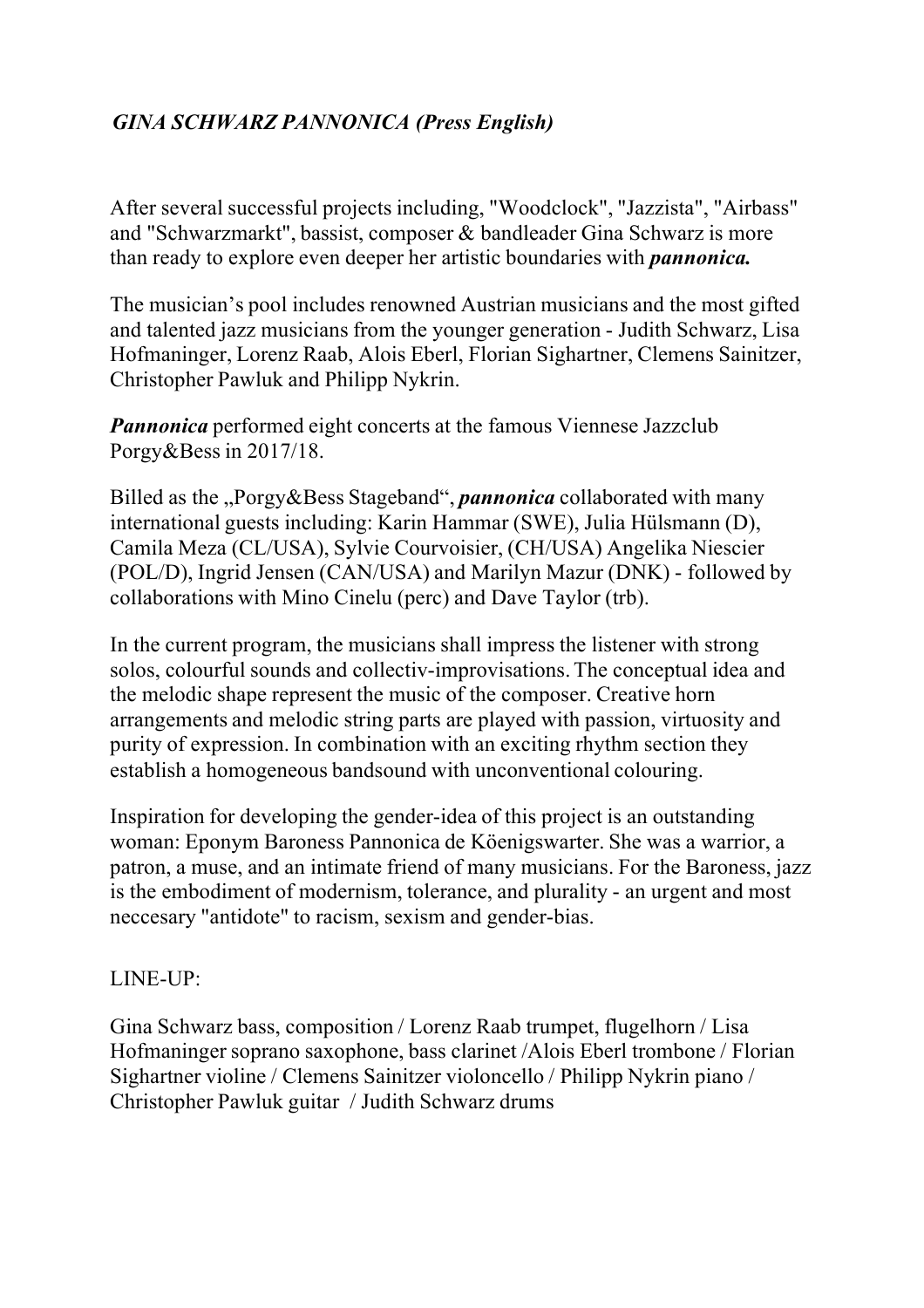## *GINA SCHWARZ PANNONICA (Press English)*

After several successful projects including, "Woodclock", "Jazzista", "Airbass" and "Schwarzmarkt", bassist, composer & bandleader Gina Schwarz is more than ready to explore even deeper her artistic boundaries with *pannonica.*

The musician's pool includes renowned Austrian musicians and the most gifted and talented jazz musicians from the younger generation - Judith Schwarz, Lisa Hofmaninger, Lorenz Raab, Alois Eberl, Florian Sighartner, Clemens Sainitzer, Christopher Pawluk and Philipp Nykrin.

*Pannonica* performed eight concerts at the famous Viennese Jazzclub Porgy&Bess in 2017/18.

Billed as the "Porgy&Bess Stageband", *pannonica* collaborated with many international guests including: Karin Hammar (SWE), Julia Hülsmann (D), Camila Meza (CL/USA), Sylvie Courvoisier, (CH/USA) Angelika Niescier (POL/D), Ingrid Jensen (CAN/USA) and Marilyn Mazur (DNK) - followed by collaborations with Mino Cinelu (perc) and Dave Taylor (trb).

In the current program, the musicians shall impress the listener with strong solos, colourful sounds and collectiv-improvisations.The conceptual idea and the melodic shape represent the music of the composer. Creative horn arrangements and melodic string parts are played with passion, virtuosity and purity of expression. In combination with an exciting rhythm section they establish a homogeneous bandsound with unconventional colouring.

Inspiration for developing the gender-idea of this project is an outstanding woman: Eponym Baroness Pannonica de Köenigswarter. She was a warrior, a patron, a muse, and an intimate friend of many musicians. For the Baroness, jazz is the embodiment of modernism, tolerance, and plurality - an urgent and most neccesary "antidote" to racism, sexism and gender-bias.

## LINE-UP:

Gina Schwarz bass, composition / Lorenz Raab trumpet, flugelhorn / Lisa Hofmaninger soprano saxophone, bass clarinet /Alois Eberl trombone / Florian Sighartner violine / Clemens Sainitzer violoncello / Philipp Nykrin piano / Christopher Pawluk guitar / Judith Schwarz drums